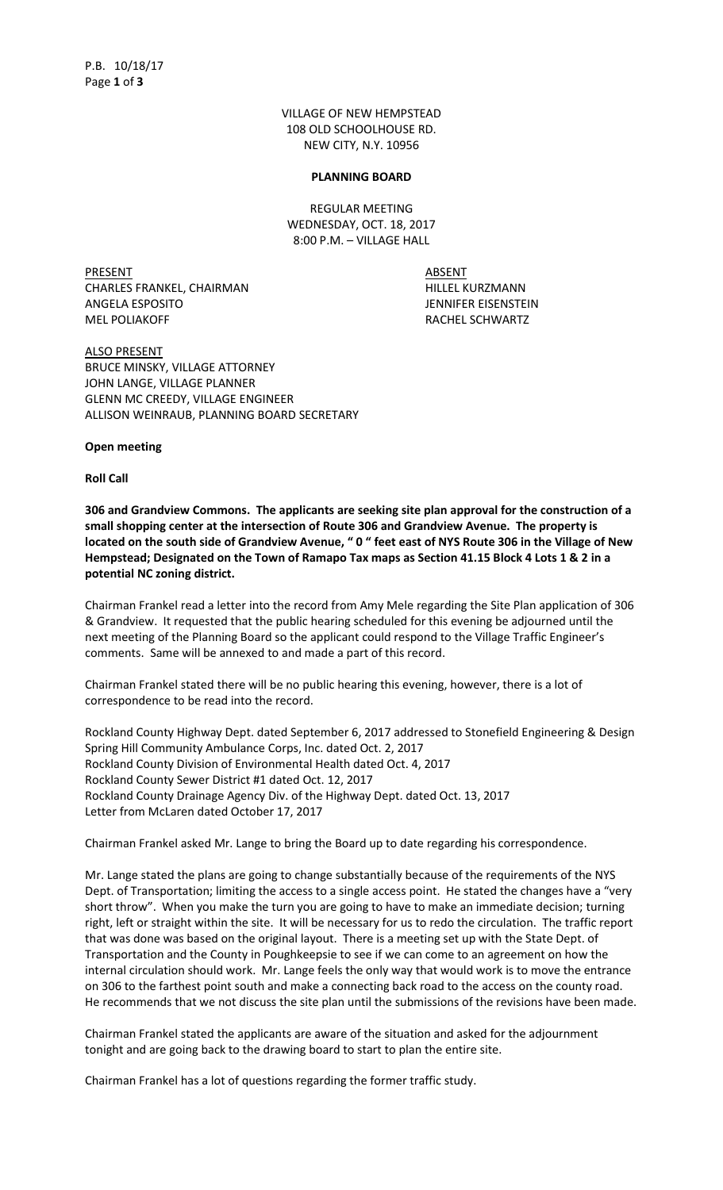VILLAGE OF NEW HEMPSTEAD 108 OLD SCHOOLHOUSE RD. NEW CITY, N.Y. 10956

#### **PLANNING BOARD**

REGULAR MEETING WEDNESDAY, OCT. 18, 2017 8:00 P.M. – VILLAGE HALL

PRESENT ABSENT CHARLES FRANKEL, CHAIRMAN HILLEL KURZMANN ANGELA ESPOSITO JENNIFER EISENSTEIN MEL POLIAKOFF RACHEL SCHWARTZ

ALSO PRESENT BRUCE MINSKY, VILLAGE ATTORNEY JOHN LANGE, VILLAGE PLANNER GLENN MC CREEDY, VILLAGE ENGINEER ALLISON WEINRAUB, PLANNING BOARD SECRETARY

**Open meeting**

**Roll Call**

**306 and Grandview Commons. The applicants are seeking site plan approval for the construction of a small shopping center at the intersection of Route 306 and Grandview Avenue. The property is located on the south side of Grandview Avenue, " 0 " feet east of NYS Route 306 in the Village of New Hempstead; Designated on the Town of Ramapo Tax maps as Section 41.15 Block 4 Lots 1 & 2 in a potential NC zoning district.**

Chairman Frankel read a letter into the record from Amy Mele regarding the Site Plan application of 306 & Grandview. It requested that the public hearing scheduled for this evening be adjourned until the next meeting of the Planning Board so the applicant could respond to the Village Traffic Engineer's comments. Same will be annexed to and made a part of this record.

Chairman Frankel stated there will be no public hearing this evening, however, there is a lot of correspondence to be read into the record.

Rockland County Highway Dept. dated September 6, 2017 addressed to Stonefield Engineering & Design Spring Hill Community Ambulance Corps, Inc. dated Oct. 2, 2017 Rockland County Division of Environmental Health dated Oct. 4, 2017 Rockland County Sewer District #1 dated Oct. 12, 2017 Rockland County Drainage Agency Div. of the Highway Dept. dated Oct. 13, 2017 Letter from McLaren dated October 17, 2017

Chairman Frankel asked Mr. Lange to bring the Board up to date regarding his correspondence.

Mr. Lange stated the plans are going to change substantially because of the requirements of the NYS Dept. of Transportation; limiting the access to a single access point. He stated the changes have a "very short throw". When you make the turn you are going to have to make an immediate decision; turning right, left or straight within the site. It will be necessary for us to redo the circulation. The traffic report that was done was based on the original layout. There is a meeting set up with the State Dept. of Transportation and the County in Poughkeepsie to see if we can come to an agreement on how the internal circulation should work. Mr. Lange feels the only way that would work is to move the entrance on 306 to the farthest point south and make a connecting back road to the access on the county road. He recommends that we not discuss the site plan until the submissions of the revisions have been made.

Chairman Frankel stated the applicants are aware of the situation and asked for the adjournment tonight and are going back to the drawing board to start to plan the entire site.

Chairman Frankel has a lot of questions regarding the former traffic study.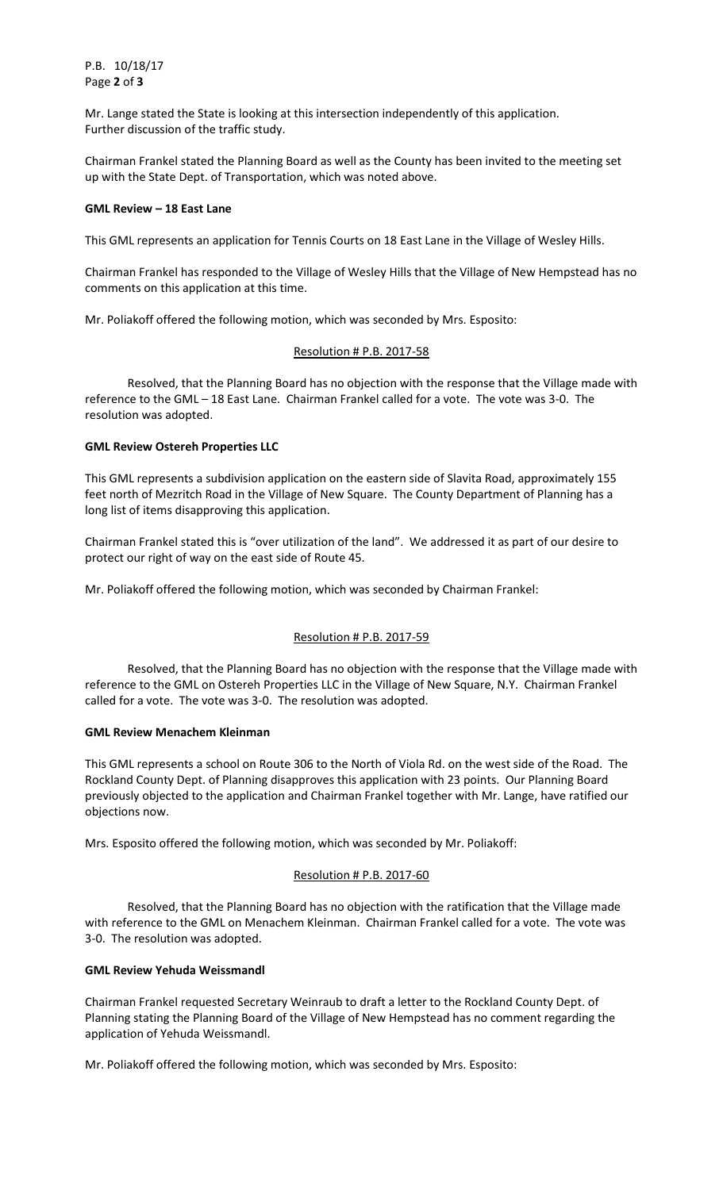P.B. 10/18/17 Page **2** of **3**

Mr. Lange stated the State is looking at this intersection independently of this application. Further discussion of the traffic study.

Chairman Frankel stated the Planning Board as well as the County has been invited to the meeting set up with the State Dept. of Transportation, which was noted above.

## **GML Review – 18 East Lane**

This GML represents an application for Tennis Courts on 18 East Lane in the Village of Wesley Hills.

Chairman Frankel has responded to the Village of Wesley Hills that the Village of New Hempstead has no comments on this application at this time.

Mr. Poliakoff offered the following motion, which was seconded by Mrs. Esposito:

### Resolution # P.B. 2017-58

Resolved, that the Planning Board has no objection with the response that the Village made with reference to the GML – 18 East Lane. Chairman Frankel called for a vote. The vote was 3-0. The resolution was adopted.

### **GML Review Ostereh Properties LLC**

This GML represents a subdivision application on the eastern side of Slavita Road, approximately 155 feet north of Mezritch Road in the Village of New Square. The County Department of Planning has a long list of items disapproving this application.

Chairman Frankel stated this is "over utilization of the land". We addressed it as part of our desire to protect our right of way on the east side of Route 45.

Mr. Poliakoff offered the following motion, which was seconded by Chairman Frankel:

## Resolution # P.B. 2017-59

Resolved, that the Planning Board has no objection with the response that the Village made with reference to the GML on Ostereh Properties LLC in the Village of New Square, N.Y. Chairman Frankel called for a vote. The vote was 3-0. The resolution was adopted.

#### **GML Review Menachem Kleinman**

This GML represents a school on Route 306 to the North of Viola Rd. on the west side of the Road. The Rockland County Dept. of Planning disapproves this application with 23 points. Our Planning Board previously objected to the application and Chairman Frankel together with Mr. Lange, have ratified our objections now.

Mrs. Esposito offered the following motion, which was seconded by Mr. Poliakoff:

## Resolution # P.B. 2017-60

Resolved, that the Planning Board has no objection with the ratification that the Village made with reference to the GML on Menachem Kleinman. Chairman Frankel called for a vote. The vote was 3-0. The resolution was adopted.

## **GML Review Yehuda Weissmandl**

Chairman Frankel requested Secretary Weinraub to draft a letter to the Rockland County Dept. of Planning stating the Planning Board of the Village of New Hempstead has no comment regarding the application of Yehuda Weissmandl.

Mr. Poliakoff offered the following motion, which was seconded by Mrs. Esposito: